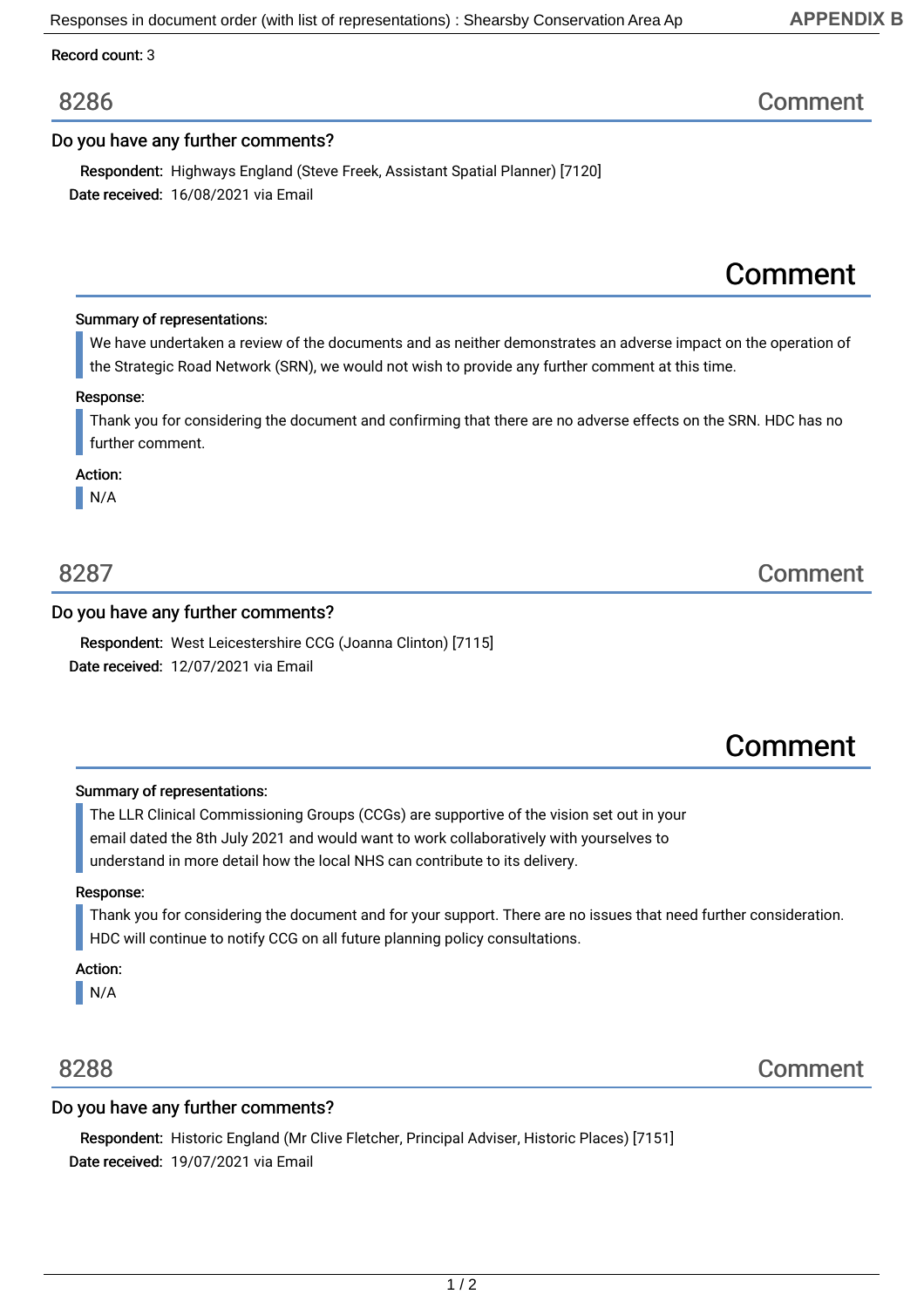## **APPENDIX B**

Record count: 3

# Do you have any further comments?

Date received: 16/08/2021 via Email Respondent: Highways England (Steve Freek, Assistant Spatial Planner) [7120]

### Summary of representations:

We have undertaken a review of the documents and as neither demonstrates an adverse impact on the operation of the Strategic Road Network (SRN), we would not wish to provide any further comment at this time.

#### Response:

Thank you for considering the document and confirming that there are no adverse effects on the SRN. HDC has no further comment.

### Action:

N/A

### Do you have any further comments?

Date received: 12/07/2021 via Email Respondent: West Leicestershire CCG (Joanna Clinton) [7115]

# Comment

#### Summary of representations:

The LLR Clinical Commissioning Groups (CCGs) are supportive of the vision set out in your email dated the 8th July 2021 and would want to work collaboratively with yourselves to understand in more detail how the local NHS can contribute to its delivery.

#### Response:

Thank you for considering the document and for your support. There are no issues that need further consideration. HDC will continue to notify CCG on all future planning policy consultations.

Action:

N/A

## Do you have any further comments?

Date received: 19/07/2021 via Email Respondent: Historic England (Mr Clive Fletcher, Principal Adviser, Historic Places) [7151]



8287 Comment

# 8286 Comment

Comment